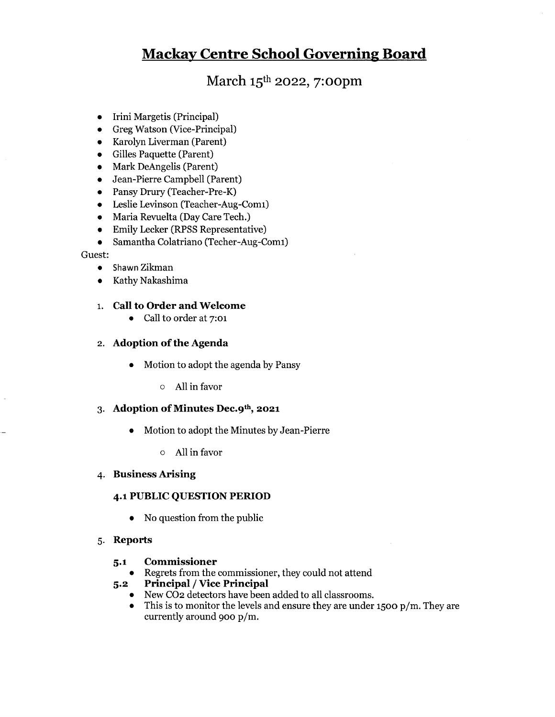# March 15th 2022, 7:oopm

- Irini Margetis (Principal)
- Greg Watson (Vice-Principal)
- Karolyn Liverman (Parent)
- Gilles Paquette (Parent)
- Mark DeAngelis (Parent)
- Jean-Pierre Campbell (Parent)
- Pansy Drury (Teacher-Pre-K)
- Leslie Levinson (Teacher-Aug-Comi)
- Maria Revuelta (Day Care Tech.)
- Emily Lecker (RPSS Representative)
- Samantha Colatriano (Techer-Aug-Comi)

#### Guest:

- Shawn Zikman
- Kathy Nakashima

### i. Call to Order and Welcome

• Call to order at 7:01

### 2. Adoption of the Agenda

- Motion to adopt the agenda by Pansy
	- o All in favor

## 3. Adoption of Minutes Dec.9th, 2021

- Motion to adopt the Minutes by Jean-Pierre
	- o All in favor
- 4. Business Arising

### 4.1 PUBLIC QUESTION PEMOD

• No question from the public

### 5. Reports

### 5.1 Commissioner

- Regrets from the commissioner, they could not attend
- 5.2 Principal / Vice Principal
	- New C02 detectors have been added to all classrooms.
	- This is to monitor the levels and ensure they are under 1500 p/m. They are currently around 900 p/m.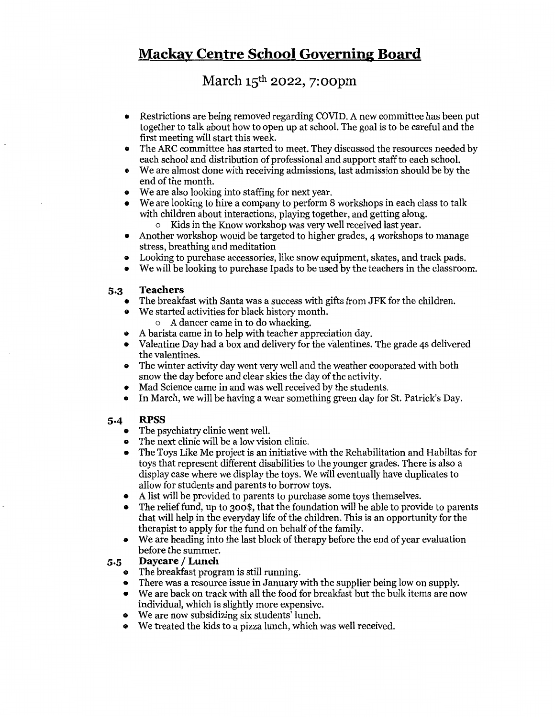# March 15th 2022, 7:oopm

- Restrictions are being removed regarding COVID. <sup>A</sup> new committee has been put together to talk about how to open up at school. The goal is to be careful and the first meeting will start this week.
- ® The ARC committee has started to meet. They discussed the resources needed by each school and distribution of professional and support staff to each school.
- ® We are almost done with receiving admissions, last admission should be by the end of the month.
- We are also looking into staffing for next year.
- We are looking to hire <sup>a</sup> company to perform <sup>8</sup> workshops in each class to talk with children about interactions, playing together, and getting along.
	- o Kids in the Know workshop was very well received last year.
- ® Another workshop would be targeted to higher grades, <sup>4</sup> workshops to manage stress, breathing and meditation
- Looking to purchase accessories, like snow equipment, skates, and track pads.<br>• We will be looking to purchase Inads to be used by the teachers in the classroo
- We will be looking to purchase Ipads to be used by the teachers in the classroom.

## 5.3 Teachers

- The breakfast with Santa was a success with gifts from JFK for the children.
	- We started activities for black history month.
		- A dancer came in to do whacking.
- A barista came in to help with teacher appreciation day.
- Valentine Day had <sup>a</sup> box and delivery for the v'alentines. The grade <sup>43</sup> delivered the valentines.
- The winter activity day went very well and the weather cooperated with both snow the day before and clear skies the day of the activity.
- Mad Science came in and was well received by the students.
- In March, we will be having <sup>a</sup> wear something green day for St. Patrick's Day.

# 5.4 RPSS

- The psychiatry clinic went well.
- The next clinic will be a low vision clinic.
- The Toys Like Me project is an initiative with the Rehabilitation and Habiltas for toys that represent different disabilities to the younger grades. There is also a display case where we display the toys. We will eventually have duplicates to allow for students and parents to borrow toys.
- ®A list will be provided to parents to purchase some toys themselves.
- The relief fund, up to 300\$, that the foundation will be able to provide to parents that will help in the everyday life of the children. This is an opportunity for the therapist to apply for the fund on behalf of the family.
- We are heading into the last block of therapy before the end of year evaluation before the summer.

# 5.5 Daycare / Lunch

- ® The breakfast program is still running.
- There was <sup>a</sup> resource issue in January with the supplier being low on supply.
- We are back on track with all the food for breakfast but the bulk items are now individual, which is slightly more expensive.
- We are now subsidizing six students lunch.
- ® We treated the kids to <sup>a</sup> pizza lunch, which was well received.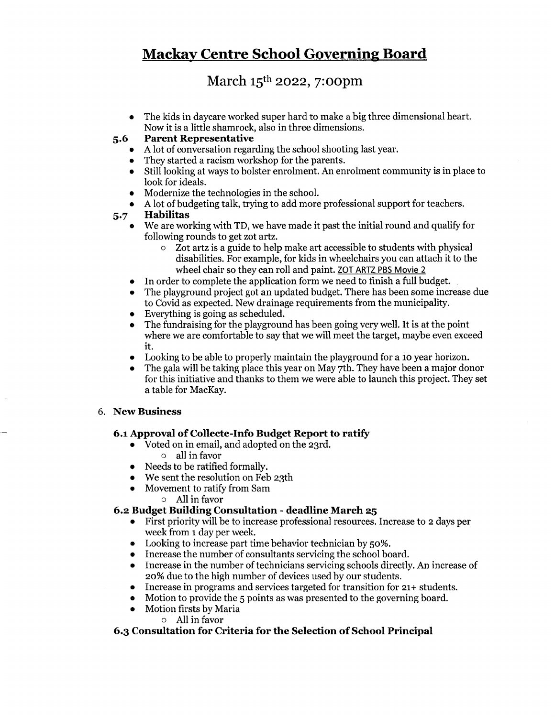# March 15th 2022, 7:oopm

• The kids in daycare worked super hard to make <sup>a</sup> big three dimensional heart. Now it is a little shamrock, also in three dimensions.

# 5.6 Parent Representative

- A lot of conversation regarding the school shooting last year.
- They started a racism workshop for the parents.
- Still looking at ways to bolster enrolment. An enrolment community is in place to look for ideals.
- Modernize the technologies in the school.
- A lot of budgeting talk, trying to add more professional support for teachers.

# 5.7 Habilitas

- We are working with TD, we have made it past the initial round and qualify for following rounds to get zot artz.
	- Zot artz is a guide to help make art accessible to students with physical disabilities. For example, for kids in wheelchairs you can attach it to the wheel chair so they can roll and paint. ZOT ARTZ PBS Movie <sup>2</sup>
- In order to complete the application form we need to finish a full budget.
- The playground project got an updated budget. There has been some increase due to Covid as expected. New drainage requirements from the municipality.
- Everything is going as scheduled.
- The fundraising for the playground has been going very well. It is at the point where we are comfortable to say that we will meet the target, maybe even exceed it.
- Looking to be able to properly maintain the playground for <sup>a</sup> <sup>10</sup> year horizon.
- The gala will be taking place this year on May 7th. They have been a major donor for this initiative and thanks to them we were able to launch this project. They set a table for MacKay.

# 6. New Business

 $\bullet$ 

# 6.1 Approval of Collecte-Info Budget Report to ratify

- Voted on in email, and adopted on the 23rd.
	- o all in favor
- Needs to be ratified formally.
- We sent the resolution on Feb 23th
- Movement to ratify from Sam
	- o All in favor

# 6.2 Budget Building Consultation - deadline March 25

- First priority will be to increase professional resources. Increase to <sup>2</sup> days per week from i day per week.
- Looking to increase part time behavior technician by 50%.
- Increase the number of consultants servicing the school board.
- Increase in the number of technicians servicing schools directly. An increase of  $\bullet$ 20% due to the high number of devices used by our students.
- Increase in programs and services targeted for transition for 21+ students.  $\bullet$
- $\bullet$ Motion to provide the <sup>5</sup> points as was presented to the governing board.
	- Motion firsts by Maria
		- o All in favor

# 6.3 Consultation for Criteria for the Selection of School Principal